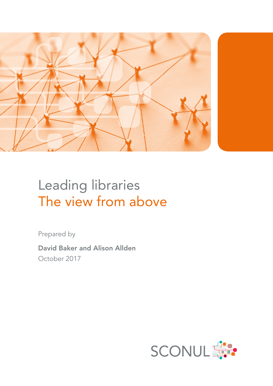

# Leading libraries The view from above

Prepared by

David Baker and Alison Allden October 2017

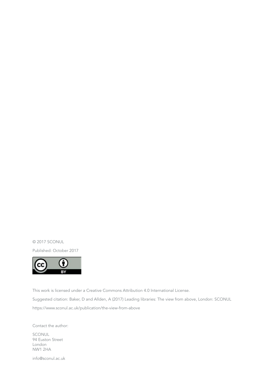© 2017 SCONUL

Published: October 2017



This work is licensed under a Creative Commons Attribution 4.0 International License. Suggested citation: Baker, D and Allden, A (2017) Leading libraries: The view from above, London: SCONUL https://www.sconul.ac.uk/publication/the-view-from-above

Contact the author:

SCONUL 94 Euston Street London NW1 2HA

info@sconul.ac.uk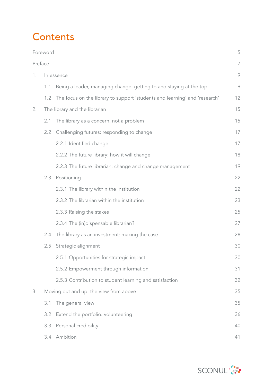## **Contents**

| Foreword |                                        |                                                                            |    |  |
|----------|----------------------------------------|----------------------------------------------------------------------------|----|--|
| Preface  |                                        |                                                                            |    |  |
| 1.       | In essence                             |                                                                            |    |  |
|          | 1.1                                    | Being a leader, managing change, getting to and staying at the top         | 9  |  |
|          | 1.2                                    | The focus on the library to support 'students and learning' and 'research' | 12 |  |
| 2.       | The library and the librarian          |                                                                            |    |  |
|          | 2.1                                    | The library as a concern, not a problem                                    | 15 |  |
|          | 2.2                                    | Challenging futures: responding to change                                  | 17 |  |
|          |                                        | 2.2.1 Identified change                                                    | 17 |  |
|          |                                        | 2.2.2 The future library: how it will change                               | 18 |  |
|          |                                        | 2.2.3 The future librarian: change and change management                   | 19 |  |
|          | 2.3                                    | Positioning                                                                | 22 |  |
|          |                                        | 2.3.1 The library within the institution                                   | 22 |  |
|          |                                        | 2.3.2 The librarian within the institution                                 | 23 |  |
|          |                                        | 2.3.3 Raising the stakes                                                   | 25 |  |
|          |                                        | 2.3.4 The (in) dispensable librarian?                                      | 27 |  |
|          | 2.4                                    | The library as an investment: making the case                              | 28 |  |
|          | 2.5                                    | Strategic alignment                                                        | 30 |  |
|          |                                        | 2.5.1 Opportunities for strategic impact                                   | 30 |  |
|          |                                        | 2.5.2 Empowerment through information                                      | 31 |  |
|          |                                        | 2.5.3 Contribution to student learning and satisfaction                    | 32 |  |
| 3.       | Moving out and up: the view from above |                                                                            | 35 |  |
|          | 3.1                                    | The general view                                                           | 35 |  |
|          | 3.2                                    | Extend the portfolio: volunteering                                         | 36 |  |
|          | 3.3                                    | Personal credibility                                                       | 40 |  |
|          | 3.4                                    | Ambition                                                                   | 41 |  |

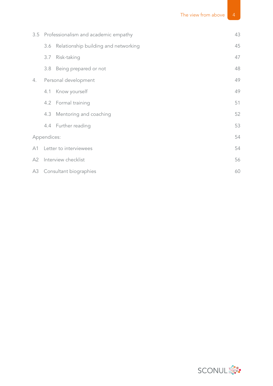|    | 3.5 Professionalism and academic empathy |                                      | 43 |
|----|------------------------------------------|--------------------------------------|----|
|    | 3.6                                      | Relationship building and networking | 45 |
|    | 3.7                                      | Risk-taking                          | 47 |
|    | 3.8                                      | Being prepared or not                | 48 |
| 4. | Personal development                     |                                      | 49 |
|    |                                          | 4.1 Know yourself                    | 49 |
|    |                                          | 4.2 Formal training                  | 51 |
|    | 4.3                                      | Mentoring and coaching               | 52 |
|    |                                          | 4.4 Further reading                  | 53 |
|    | Appendices:                              |                                      |    |
|    |                                          | A1 Letter to interviewees            |    |
| A2 | Interview checklist                      |                                      |    |
|    | A3 Consultant biographies                |                                      |    |

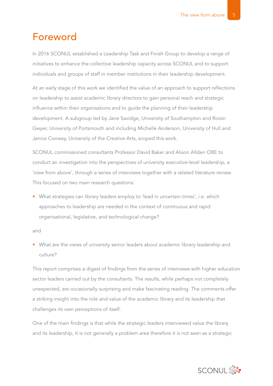## Foreword

In 2016 SCONUL established a Leadership Task and Finish Group to develop a range of initiatives to enhance the collective leadership capacity across SCONUL and to support individuals and groups of staff in member institutions in their leadership development.

At an early stage of this work we identified the value of an approach to support reflections on leadership to assist academic library directors to gain personal reach and strategic influence within their organisations and to guide the planning of their leadership development. A subgroup led by Jane Savidge, University of Southampton and Roisin Gwyer, University of Portsmouth and including Michelle Anderson, University of Hull and Janice Conway, University of the Creative Arts, scoped this work.

SCONUL commissioned consultants Professor David Baker and Alison Allden OBE to conduct an investigation into the perspectives of university executive-level leadership, a 'view from above', through a series of interviews together with a related literature review. This focused on two main research questions:

• What strategies can library leaders employ to 'lead in uncertain times', i.e. which approaches to leadership are needed in the context of continuous and rapid organisational, legislative, and technological change?

and

• What are the views of university senior leaders about academic library leadership and culture?

This report comprises a digest of findings from the series of interviews with higher education sector leaders carried out by the consultants. The results, while perhaps not completely unexpected, are occasionally surprising and make fascinating reading. The comments offer a striking insight into the role and value of the academic library and its leadership that challenges its own perceptions of itself.

One of the main findings is that while the strategic leaders interviewed value the library and its leadership, it is not generally a problem area therefore it is not seen as a strategic

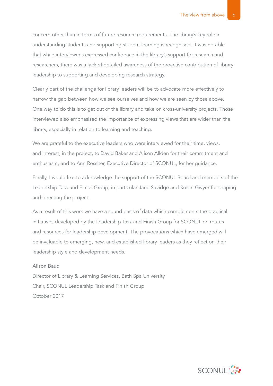concern other than in terms of future resource requirements. The library's key role in understanding students and supporting student learning is recognised. It was notable that while interviewees expressed confidence in the library's support for research and researchers, there was a lack of detailed awareness of the proactive contribution of library leadership to supporting and developing research strategy.

Clearly part of the challenge for library leaders will be to advocate more effectively to narrow the gap between how we see ourselves and how we are seen by those above. One way to do this is to get out of the library and take on cross-university projects. Those interviewed also emphasised the importance of expressing views that are wider than the library, especially in relation to learning and teaching.

We are grateful to the executive leaders who were interviewed for their time, views, and interest, in the project, to David Baker and Alison Allden for their commitment and enthusiasm, and to Ann Rossiter, Executive Director of SCONUL, for her guidance.

Finally, I would like to acknowledge the support of the SCONUL Board and members of the Leadership Task and Finish Group, in particular Jane Savidge and Roisin Gwyer for shaping and directing the project.

As a result of this work we have a sound basis of data which complements the practical initiatives developed by the Leadership Task and Finish Group for SCONUL on routes and resources for leadership development. The provocations which have emerged will be invaluable to emerging, new, and established library leaders as they reflect on their leadership style and development needs.

### Alison Baud

Director of Library & Learning Services, Bath Spa University Chair, SCONUL Leadership Task and Finish Group October 2017

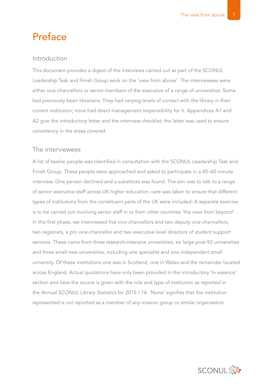## Preface

### Introduction

This document provides a digest of the interviews carried out as part of the SCONUL Leadership Task and Finish Group work on the 'view from above'. The interviewees were either vice-chancellors or senior members of the executive of a range of universities. Some had previously been librarians. They had varying levels of contact with the library in their current institution; none had direct management responsibility for it. Appendices A1 and A2 give the introductory letter and the interview checklist; the latter was used to ensure consistency in the areas covered.

### The interviewees

A list of twelve people was identified in consultation with the SCONUL Leadership Task and Finish Group. These people were approached and asked to participate in a 45–60 minute interview. One person declined and a substitute was found. The aim was to talk to a range of senior executive staff across UK higher education; care was taken to ensure that different types of institutions from the constituent parts of the UK were included. A separate exercise is to be carried out involving senior staff in or from other countries 'the view from beyond'. In this first phase, we interviewed five vice-chancellors and two deputy vice-chancellors, two registrars, a pro vice-chancellor and two executive level directors of student support services. These came from three research-intensive universities, six large post-92 universities and three small new universities, including one specialist and one independent small university. Of these institutions one was in Scotland, one in Wales and the remainder located across England. Actual quotations have only been provided in the introductory 'In essence' section and here the source is given with the role and type of institution as reported in the *Annual SCONUL Library Statistics* for 2015 / 16. 'None' signifies that the institution represented is not reported as a member of any mission group or similar organisation.

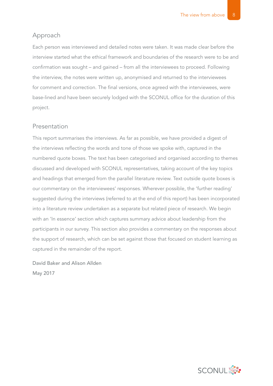### Approach

Each person was interviewed and detailed notes were taken. It was made clear before the interview started what the ethical framework and boundaries of the research were to be and confirmation was sought – and gained – from all the interviewees to proceed. Following the interview, the notes were written up, anonymised and returned to the interviewees for comment and correction. The final versions, once agreed with the interviewees, were base-lined and have been securely lodged with the SCONUL office for the duration of this project.

### Presentation

This report summarises the interviews. As far as possible, we have provided a digest of the interviews reflecting the words and tone of those we spoke with, captured in the numbered quote boxes. The text has been categorised and organised according to themes discussed and developed with SCONUL representatives, taking account of the key topics and headings that emerged from the parallel literature review. Text outside quote boxes is our commentary on the interviewees' responses. Wherever possible, the 'further reading' suggested during the interviews (referred to at the end of this report) has been incorporated into a literature review undertaken as a separate but related piece of research. We begin with an 'In essence' section which captures summary advice about leadership from the participants in our survey. This section also provides a commentary on the responses about the support of research, which can be set against those that focused on student learning as captured in the remainder of the report.

David Baker and Alison Allden May 2017

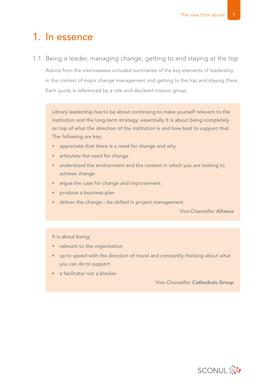## 1. In essence

1.1 Being a leader, managing change, getting to and staying at the top

Advice from the interviewees included summaries of the key elements of leadership, in the context of major change management and getting to the top and staying there. Each quote is referenced by a role and declared mission group.

Library leadership has to be about continuing to make yourself relevant to the institution and the long-term strategy; essentially it is about being completely on top of what the direction of the institution is and how best to support that. The following are key:

- appreciate that there is a need for change and why
- articulate the need for change
- understand the environment and the context in which you are looking to achieve change
- argue the case for change and improvement
- produce a business plan
- deliver the change be skilled in project management

Vice-Chancellor Alliance

It is about being:

- relevant to the organisation
- up to speed with the direction of travel and constantly thinking about what you can do to support
- a facilitator not a blocker

Vice-Chancellor Cathedrals Group

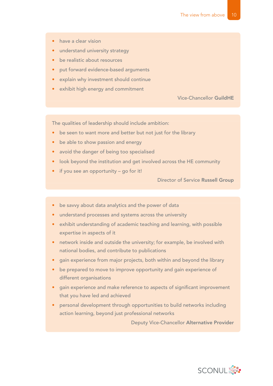- have a clear vision
- understand university strategy
- be realistic about resources
- put forward evidence-based arguments
- explain why investment should continue
- exhibit high energy and commitment

Vice-Chancellor GuildHE

The qualities of leadership should include ambition:

- be seen to want more and better but not just for the library
- be able to show passion and energy
- avoid the danger of being too specialised
- look beyond the institution and get involved across the HE community
- if you see an opportunity go for it!

Director of Service Russell Group

- be savvy about data analytics and the power of data
- understand processes and systems across the university
- exhibit understanding of academic teaching and learning, with possible expertise in aspects of it
- network inside and outside the university; for example, be involved with national bodies, and contribute to publications
- gain experience from major projects, both within and beyond the library
- be prepared to move to improve opportunity and gain experience of different organisations
- gain experience and make reference to aspects of significant improvement that you have led and achieved
- personal development through opportunities to build networks including action learning, beyond just professional networks

Deputy Vice-Chancellor Alternative Provider

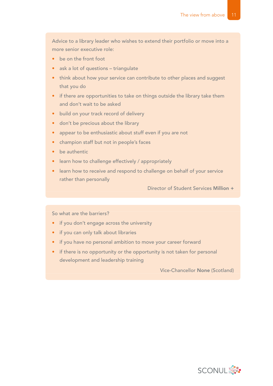Advice to a library leader who wishes to extend their portfolio or move into a more senior executive role:

- be on the front foot
- ask a lot of questions triangulate
- think about how your service can contribute to other places and suggest that you do
- if there are opportunities to take on things outside the library take them and don't wait to be asked
- build on your track record of delivery
- don't be precious about the library
- appear to be enthusiastic about stuff even if you are not
- champion staff but not in people's faces
- be authentic
- learn how to challenge effectively / appropriately
- learn how to receive and respond to challenge on behalf of your service rather than personally

Director of Student Services Million +

### So what are the barriers?

- if you don't engage across the university
- if you can only talk about libraries
- if you have no personal ambition to move your career forward
- if there is no opportunity or the opportunity is not taken for personal development and leadership training

Vice-Chancellor None (Scotland)

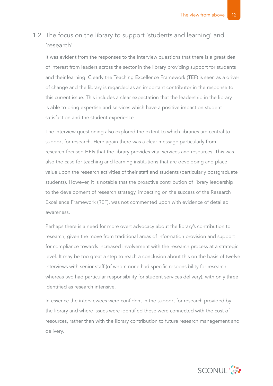## 1.2 The focus on the library to support 'students and learning' and 'research'

It was evident from the responses to the interview questions that there is a great deal of interest from leaders across the sector in the library providing support for students and their learning. Clearly the Teaching Excellence Framework (TEF) is seen as a driver of change and the library is regarded as an important contributor in the response to this current issue. This includes a clear expectation that the leadership in the library is able to bring expertise and services which have a positive impact on student satisfaction and the student experience.

The interview questioning also explored the extent to which libraries are central to support for research. Here again there was a clear message particularly from research-focused HEIs that the library provides vital services and resources. This was also the case for teaching and learning institutions that are developing and place value upon the research activities of their staff and students (particularly postgraduate students). However, it is notable that the proactive contribution of library leadership to the development of research strategy, impacting on the success of the Research Excellence Framework (REF), was not commented upon with evidence of detailed awareness.

Perhaps there is a need for more overt advocacy about the library's contribution to research, given the move from traditional areas of information provision and support for compliance towards increased involvement with the research process at a strategic level. It may be too great a step to reach a conclusion about this on the basis of twelve interviews with senior staff (of whom none had specific responsibility for research, whereas two had particular responsibility for student services delivery), with only three identified as research intensive.

In essence the interviewees were confident in the support for research provided by the library and where issues were identified these were connected with the cost of resources, rather than with the library contribution to future research management and delivery.

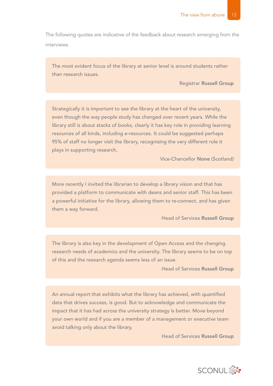The following quotes are indicative of the feedback about research emerging from the interviews.

The most evident focus of the library at senior level is around students rather than research issues.

Registrar Russell Group

Strategically it is important to see the library at the heart of the university, even though the way people study has changed over recent years. While the library still is about stacks of books, clearly it has key role in providing learning resources of all kinds, including e-resources. It could be suggested perhaps 95% of staff no longer visit the library, recognising the very different role it plays in supporting research.

Vice-Chancellor None (Scotland)

More recently I invited the librarian to develop a library vision and that has provided a platform to communicate with deans and senior staff. This has been a powerful initiative for the library, allowing them to re-connect, and has given them a way forward.

Head of Services Russell Group

The library is also key in the development of Open Access and the changing research needs of academics and the university. The library seems to be on top of this and the research agenda seems less of an issue.

Head of Services Russell Group

An annual report that exhibits what the library has achieved, with quantified data that drives success, is good. But to acknowledge and communicate the impact that it has had across the university strategy is better. Move beyond your own world and if you are a member of a management or executive team avoid talking only about the library.

Head of Services Russell Group

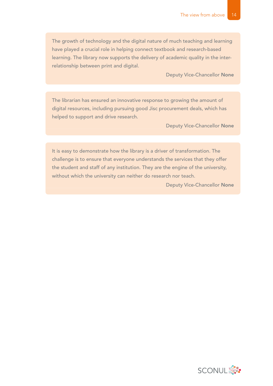The growth of technology and the digital nature of much teaching and learning have played a crucial role in helping connect textbook and research-based learning. The library now supports the delivery of academic quality in the interrelationship between print and digital.

Deputy Vice-Chancellor None

The librarian has ensured an innovative response to growing the amount of digital resources, including pursuing good Jisc procurement deals, which has helped to support and drive research.

Deputy Vice-Chancellor None

It is easy to demonstrate how the library is a driver of transformation. The challenge is to ensure that everyone understands the services that they offer the student and staff of any institution. They are the engine of the university, without which the university can neither do research nor teach.

Deputy Vice-Chancellor None

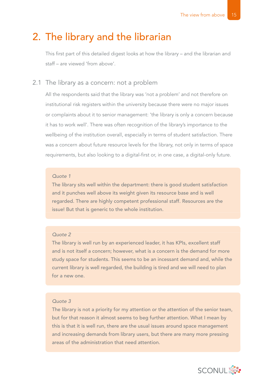## 2. The library and the librarian

This first part of this detailed digest looks at how the library – and the librarian and staff – are viewed 'from above'.

### 2.1 The library as a concern: not a problem

All the respondents said that the library was 'not a problem' and not therefore on institutional risk registers within the university because there were no major issues or complaints about it to senior management: 'the library is only a concern because it has to work well'. There was often recognition of the library's importance to the wellbeing of the institution overall, especially in terms of student satisfaction. There was a concern about future resource levels for the library, not only in terms of space requirements, but also looking to a digital-first or, in one case, a digital-only future.

#### *Quote 1*

The library sits well within the department: there is good student satisfaction and it punches well above its weight given its resource base and is well regarded. There are highly competent professional staff. Resources are the issue! But that is generic to the whole institution.

### *Quote 2*

The library is well run by an experienced leader, it has KPIs, excellent staff and is not itself a concern; however, what is a concern is the demand for more study space for students. This seems to be an incessant demand and, while the current library is well regarded, the building is tired and we will need to plan for a new one.

### *Quote 3*

The library is not a priority for my attention or the attention of the senior team, but for that reason it almost seems to beg further attention. What I mean by this is that it is well run, there are the usual issues around space management and increasing demands from library users, but there are many more pressing areas of the administration that need attention.

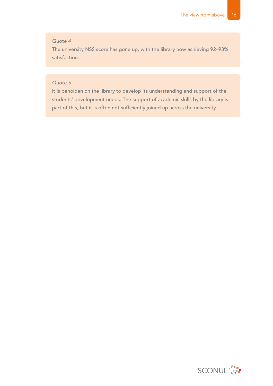The university NSS score has gone up, with the library now achieving 92–93% satisfaction.

### *Quote 5*

It is beholden on the library to develop its understanding and support of the students' development needs. The support of academic skills by the library is part of this, but it is often not sufficiently joined up across the university.

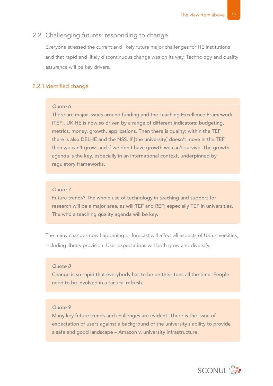### 2.2 Challenging futures: responding to change

Everyone stressed the current and likely future major challenges for HE institutions and that rapid and likely discontinuous change was on its way. Technology and quality assurance will be key drivers.

### 2.2.1 Identified change

### *Quote 6*

There are major issues around funding and the Teaching Excellence Framework (TEF). UK HE is now so driven by a range of different indicators: budgeting, metrics, money, growth, applications. Then there is quality: within the TEF there is also DELHE and the NSS. If [the university] doesn't move in the TEF then we can't grow, and if we don't have growth we can't survive. The growth agenda is the key, especially in an international context, underpinned by regulatory frameworks.

### *Quote 7*

Future trends? The whole use of technology in teaching and support for research will be a major area, as will TEF and REF; especially TEF in universities. The whole teaching quality agenda will be key.

The many changes now happening or forecast will affect all aspects of UK universities, including library provision. User expectations will both grow and diversify.

### *Quote 8*

Change is so rapid that everybody has to be on their toes all the time. People need to be involved in a tactical refresh.

### *Quote 9*

Many key future trends and challenges are evident. There is the issue of expectation of users against a background of the university's ability to provide a safe and good landscape – Amazon v. university infrastructure.

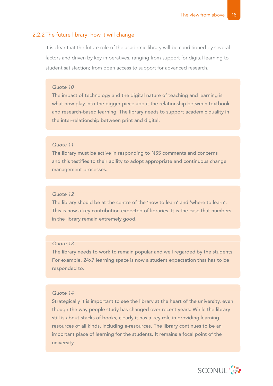### 2.2.2The future library: how it will change

It is clear that the future role of the academic library will be conditioned by several factors and driven by key imperatives, ranging from support for digital learning to student satisfaction; from open access to support for advanced research.

#### *Quote 10*

The impact of technology and the digital nature of teaching and learning is what now play into the bigger piece about the relationship between textbook and research-based learning. The library needs to support academic quality in the inter-relationship between print and digital.

### *Quote 11*

The library must be active in responding to NSS comments and concerns and this testifies to their ability to adopt appropriate and continuous change management processes.

### *Quote 12*

The library should be at the centre of the 'how to learn' and 'where to learn'. This is now a key contribution expected of libraries. It is the case that numbers in the library remain extremely good.

### *Quote 13*

The library needs to work to remain popular and well regarded by the students. For example, 24x7 learning space is now a student expectation that has to be responded to.

### *Quote 14*

Strategically it is important to see the library at the heart of the university, even though the way people study has changed over recent years. While the library still is about stacks of books, clearly it has a key role in providing learning resources of all kinds, including e-resources. The library continues to be an important place of learning for the students. It remains a focal point of the university.

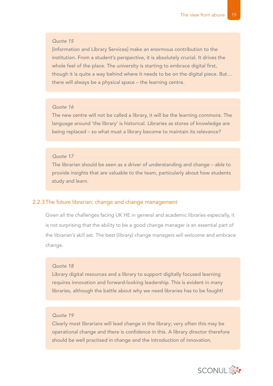[Information and Library Services] make an enormous contribution to the institution. From a student's perspective, it is absolutely crucial. It drives the whole feel of the place. The university is starting to embrace digital first, though it is quite a way behind where it needs to be on the digital piece. But… there will always be a physical space – the learning centre.

### *Quote 16*

The new centre will not be called a library, it will be the learning commons. The language around 'the library' is historical. Libraries as stores of knowledge are being replaced – so what must a library become to maintain its relevance?

### *Quote 17*

The librarian should be seen as a driver of understanding and change – able to provide insights that are valuable to the team, particularly about how students study and learn.

### 2.2.3The future librarian: change and change management

Given all the challenges facing UK HE in general and academic libraries especially, it is not surprising that the ability to be a good change manager is an essential part of the librarian's skill set. The best (library) change managers will welcome and embrace change.

### *Quote 18*

Library digital resources and a library to support digitally focused learning requires innovation and forward-looking leadership. This is evident in many libraries, although the battle about why we need libraries has to be fought!

### *Quote 19*

Clearly most librarians will lead change in the library; very often this may be operational change and there is confidence in this. A library director therefore should be well practised in change and the introduction of innovation.

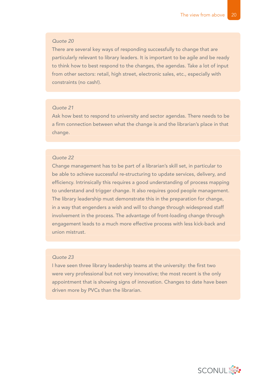There are several key ways of responding successfully to change that are particularly relevant to library leaders. It is important to be agile and be ready to think how to best respond to the changes, the agendas. Take a lot of input from other sectors: retail, high street, electronic sales, etc., especially with constraints (no cash!).

### *Quote 21*

Ask how best to respond to university and sector agendas. There needs to be a firm connection between what the change is and the librarian's place in that change.

### *Quote 22*

Change management has to be part of a librarian's skill set, in particular to be able to achieve successful re-structuring to update services, delivery, and efficiency. Intrinsically this requires a good understanding of process mapping to understand and trigger change. It also requires good people management. The library leadership must demonstrate this in the preparation for change, in a way that engenders a wish and will to change through widespread staff involvement in the process. The advantage of front-loading change through engagement leads to a much more effective process with less kick-back and union mistrust.

### *Quote 23*

I have seen three library leadership teams at the university: the first two were very professional but not very innovative; the most recent is the only appointment that is showing signs of innovation. Changes to date have been driven more by PVCs than the librarian.

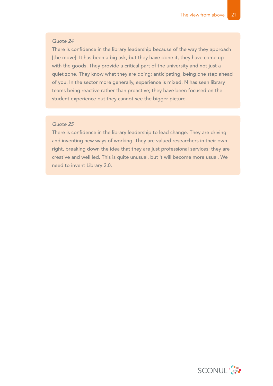There is confidence in the library leadership because of the way they approach [the move]. It has been a big ask, but they have done it, they have come up with the goods. They provide a critical part of the university and not just a quiet zone. They know what they are doing: anticipating, being one step ahead of you. In the sector more generally, experience is mixed. N has seen library teams being reactive rather than proactive; they have been focused on the student experience but they cannot see the bigger picture.

### *Quote 25*

There is confidence in the library leadership to lead change. They are driving and inventing new ways of working. They are valued researchers in their own right, breaking down the idea that they are just professional services; they are creative and well led. This is quite unusual, but it will become more usual. We need to invent Library 2.0.

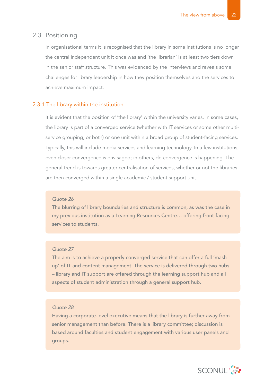### 2.3 Positioning

In organisational terms it is recognised that the library in some institutions is no longer the central independent unit it once was and 'the librarian' is at least two tiers down in the senior staff structure. This was evidenced by the interviews and reveals some challenges for library leadership in how they position themselves and the services to achieve maximum impact.

### 2.3.1 The library within the institution

It is evident that the position of 'the library' within the university varies. In some cases, the library is part of a converged service (whether with IT services or some other multiservice grouping, or both) or one unit within a broad group of student-facing services. Typically, this will include media services and learning technology. In a few institutions, even closer convergence is envisaged; in others, de-convergence is happening. The general trend is towards greater centralisation of services, whether or not the libraries are then converged within a single academic / student support unit.

### *Quote 26*

The blurring of library boundaries and structure is common, as was the case in my previous institution as a Learning Resources Centre… offering front-facing services to students.

### *Quote 27*

The aim is to achieve a properly converged service that can offer a full 'mash up' of IT and content management. The service is delivered through two hubs – library and IT support are offered through the learning support hub and all aspects of student administration through a general support hub.

#### *Quote 28*

Having a corporate-level executive means that the library is further away from senior management than before. There is a library committee; discussion is based around faculties and student engagement with various user panels and groups.

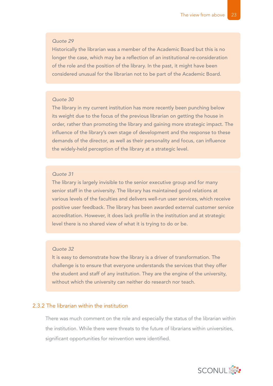Historically the librarian was a member of the Academic Board but this is no longer the case, which may be a reflection of an institutional re-consideration of the role and the position of the library. In the past, it might have been considered unusual for the librarian not to be part of the Academic Board.

### *Quote 30*

The library in my current institution has more recently been punching below its weight due to the focus of the previous librarian on getting the house in order, rather than promoting the library and gaining more strategic impact. The influence of the library's own stage of development and the response to these demands of the director, as well as their personality and focus, can influence the widely-held perception of the library at a strategic level.

### *Quote 31*

The library is largely invisible to the senior executive group and for many senior staff in the university. The library has maintained good relations at various levels of the faculties and delivers well-run user services, which receive positive user feedback. The library has been awarded external customer service accreditation. However, it does lack profile in the institution and at strategic level there is no shared view of what it is trying to do or be.

### *Quote 32*

lt is easy to demonstrate how the library is a driver of transformation. The challenge is to ensure that everyone understands the services that they offer the student and staff of any institution. They are the engine of the university, without which the university can neither do research nor teach.

### 2.3.2 The librarian within the institution

There was much comment on the role and especially the status of the librarian within the institution. While there were threats to the future of librarians within universities, significant opportunities for reinvention were identified.

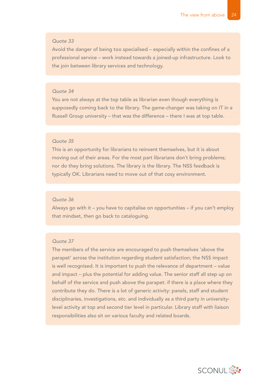Avoid the danger of being too specialised – especially within the confines of a professional service – work instead towards a joined-up infrastructure. Look to the join between library services and technology.

### *Quote 34*

You are not always at the top table as librarian even though everything is supposedly coming back to the library. The game-changer was taking on IT in a Russell Group university – that was the difference – there I was at top table.

### *Quote 35*

This is an opportunity for librarians to reinvent themselves, but it is about moving out of their areas. For the most part librarians don't bring problems; nor do they bring solutions. The library is the library. The NSS feedback is typically OK. Librarians need to move out of that cosy environment.

### *Quote 36*

Always go with it – you have to capitalise on opportunities – if you can't employ that mindset, then go back to cataloguing.

#### *Quote 37*

The members of the service are encouraged to push themselves 'above the parapet' across the institution regarding student satisfaction; the NSS impact is well recognised. It is important to push the relevance of department – value and impact – plus the potential for adding value. The senior staff all step up on behalf of the service and push above the parapet: if there is a place where they contribute they do. There is a lot of generic activity: panels, staff and student disciplinaries, investigations, etc. and individually as a third party in universitylevel activity at top and second tier level in particular. Library staff with liaison responsibilities also sit on various faculty and related boards.

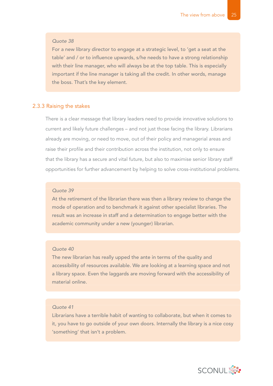For a new library director to engage at a strategic level, to 'get a seat at the table' and / or to influence upwards, s/he needs to have a strong relationship with their line manager, who will always be at the top table. This is especially important if the line manager is taking all the credit. In other words, manage the boss. That's the key element.

### 2.3.3 Raising the stakes

There is a clear message that library leaders need to provide innovative solutions to current and likely future challenges – and not just those facing the library. Librarians already are moving, or need to move, out of their policy and managerial areas and raise their profile and their contribution across the institution, not only to ensure that the library has a secure and vital future, but also to maximise senior library staff opportunities for further advancement by helping to solve cross-institutional problems.

### *Quote 39*

At the retirement of the librarian there was then a library review to change the mode of operation and to benchmark it against other specialist libraries. The result was an increase in staff and a determination to engage better with the academic community under a new (younger) librarian.

### *Quote 40*

The new librarian has really upped the ante in terms of the quality and accessibility of resources available. We are looking at a learning space and not a library space. Even the laggards are moving forward with the accessibility of material online.

#### *Quote 41*

Librarians have a terrible habit of wanting to collaborate, but when it comes to it, you have to go outside of your own doors. Internally the library is a nice cosy 'something' that isn't a problem.

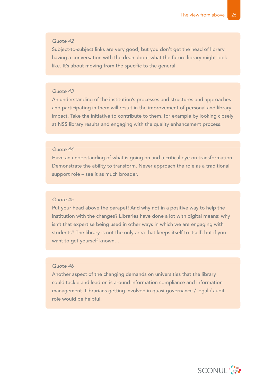Subject-to-subject links are very good, but you don't get the head of library having a conversation with the dean about what the future library might look like. It's about moving from the specific to the general.

### *Quote 43*

An understanding of the institution's processes and structures and approaches and participating in them will result in the improvement of personal and library impact. Take the initiative to contribute to them, for example by looking closely at NSS library results and engaging with the quality enhancement process.

### *Quote 44*

Have an understanding of what is going on and a critical eye on transformation. Demonstrate the ability to transform. Never approach the role as a traditional support role – see it as much broader.

#### *Quote 45*

Put your head above the parapet! And why not in a positive way to help the institution with the changes? Libraries have done a lot with digital means: why isn't that expertise being used in other ways in which we are engaging with students? The library is not the only area that keeps itself to itself, but if you want to get yourself known…

### *Quote 46*

Another aspect of the changing demands on universities that the library could tackle and lead on is around information compliance and information management. Librarians getting involved in quasi-governance / legal / audit role would be helpful.

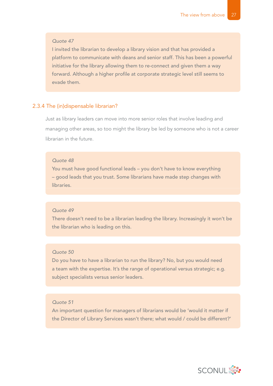I invited the librarian to develop a library vision and that has provided a platform to communicate with deans and senior staff. This has been a powerful initiative for the library allowing them to re-connect and given them a way forward. Although a higher profile at corporate strategic level still seems to evade them.

### 2.3.4 The (in)dispensable librarian?

Just as library leaders can move into more senior roles that involve leading and managing other areas, so too might the library be led by someone who is not a career librarian in the future.

#### *Quote 48*

You must have good functional leads – you don't have to know everything – good leads that you trust. Some librarians have made step changes with libraries.

### *Quote 49*

There doesn't need to be a librarian leading the library. Increasingly it won't be the librarian who is leading on this.

### *Quote 50*

Do you have to have a librarian to run the library? No, but you would need a team with the expertise. It's the range of operational versus strategic; e.g. subject specialists versus senior leaders.

### *Quote 51*

An important question for managers of librarians would be 'would it matter if the Director of Library Services wasn't there; what would / could be different?'

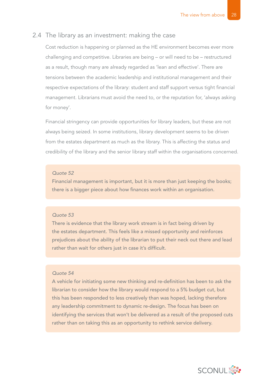### 2.4 The library as an investment: making the case

Cost reduction is happening or planned as the HE environment becomes ever more challenging and competitive. Libraries are being – or will need to be – restructured as a result, though many are already regarded as 'lean and effective'. There are tensions between the academic leadership and institutional management and their respective expectations of the library: student and staff support versus tight financial management. Librarians must avoid the need to, or the reputation for, 'always asking for money'.

Financial stringency can provide opportunities for library leaders, but these are not always being seized. In some institutions, library development seems to be driven from the estates department as much as the library. This is affecting the status and credibility of the library and the senior library staff within the organisations concerned.

### *Quote 52*

Financial management is important, but it is more than just keeping the books; there is a bigger piece about how finances work within an organisation.

### *Quote 53*

There is evidence that the library work stream is in fact being driven by the estates department. This feels like a missed opportunity and reinforces prejudices about the ability of the librarian to put their neck out there and lead rather than wait for others just in case it's difficult.

### *Quote 54*

A vehicle for initiating some new thinking and re-definition has been to ask the librarian to consider how the library would respond to a 5% budget cut, but this has been responded to less creatively than was hoped, lacking therefore any leadership commitment to dynamic re-design. The focus has been on identifying the services that won't be delivered as a result of the proposed cuts rather than on taking this as an opportunity to rethink service delivery.

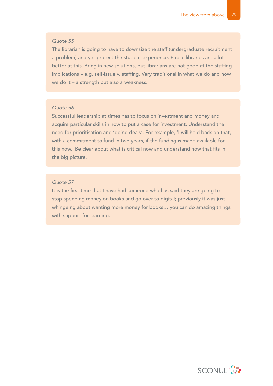The librarian is going to have to downsize the staff (undergraduate recruitment a problem) and yet protect the student experience. Public libraries are a lot better at this. Bring in new solutions, but librarians are not good at the staffing implications – e.g. self-issue v. staffing. Very traditional in what we do and how we do it – a strength but also a weakness.

### *Quote 56*

Successful leadership at times has to focus on investment and money and acquire particular skills in how to put a case for investment. Understand the need for prioritisation and 'doing deals'. For example, 'I will hold back on that, with a commitment to fund in two years, if the funding is made available for this now.' Be clear about what is critical now and understand how that fits in the big picture.

### *Quote 57*

It is the first time that I have had someone who has said they are going to stop spending money on books and go over to digital; previously it was just whingeing about wanting more money for books… you can do amazing things with support for learning.

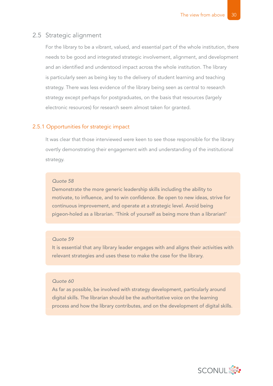### 2.5 Strategic alignment

For the library to be a vibrant, valued, and essential part of the whole institution, there needs to be good and integrated strategic involvement, alignment, and development and an identified and understood impact across the whole institution. The library is particularly seen as being key to the delivery of student learning and teaching strategy. There was less evidence of the library being seen as central to research strategy except perhaps for postgraduates, on the basis that resources (largely electronic resources) for research seem almost taken for granted.

### 2.5.1 Opportunities for strategic impact

It was clear that those interviewed were keen to see those responsible for the library overtly demonstrating their engagement with and understanding of the institutional strategy.

#### *Quote 58*

Demonstrate the more generic leadership skills including the ability to motivate, to influence, and to win confidence. Be open to new ideas, strive for continuous improvement, and operate at a strategic level. Avoid being pigeon-holed as a librarian. 'Think of yourself as being more than a librarian!'

#### *Quote 59*

It is essential that any library leader engages with and aligns their activities with relevant strategies and uses these to make the case for the library.

### *Quote 60*

As far as possible, be involved with strategy development, particularly around digital skills. The librarian should be the authoritative voice on the learning process and how the library contributes, and on the development of digital skills.

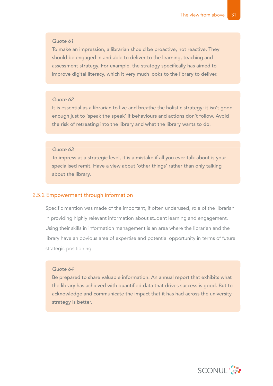To make an impression, a librarian should be proactive, not reactive. They should be engaged in and able to deliver to the learning, teaching and assessment strategy. For example, the strategy specifically has aimed to improve digital literacy, which it very much looks to the library to deliver.

### *Quote 62*

It is essential as a librarian to live and breathe the holistic strategy; it isn't good enough just to 'speak the speak' if behaviours and actions don't follow. Avoid the risk of retreating into the library and what the library wants to do.

### *Quote 63*

To impress at a strategic level, it is a mistake if all you ever talk about is your specialised remit. Have a view about 'other things' rather than only talking about the library.

### 2.5.2 Empowerment through information

Specific mention was made of the important, if often underused, role of the librarian in providing highly relevant information about student learning and engagement. Using their skills in information management is an area where the librarian and the library have an obvious area of expertise and potential opportunity in terms of future strategic positioning.

### *Quote 64*

Be prepared to share valuable information. An annual report that exhibits what the library has achieved with quantified data that drives success is good. But to acknowledge and communicate the impact that it has had across the university strategy is better.

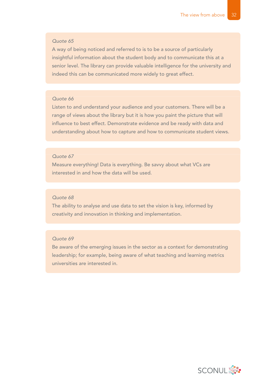A way of being noticed and referred to is to be a source of particularly insightful information about the student body and to communicate this at a senior level. The library can provide valuable intelligence for the university and indeed this can be communicated more widely to great effect.

### *Quote 66*

Listen to and understand your audience and your customers. There will be a range of views about the library but it is how you paint the picture that will influence to best effect. Demonstrate evidence and be ready with data and understanding about how to capture and how to communicate student views.

### *Quote 67*

Measure everything! Data is everything. Be savvy about what VCs are interested in and how the data will be used.

#### *Quote 68*

The ability to analyse and use data to set the vision is key, informed by creativity and innovation in thinking and implementation.

### *Quote 69*

Be aware of the emerging issues in the sector as a context for demonstrating leadership; for example, being aware of what teaching and learning metrics universities are interested in.

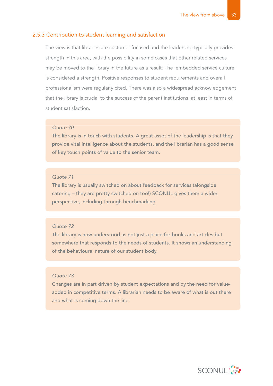#### 2.5.3 Contribution to student learning and satisfaction

The view is that libraries are customer focused and the leadership typically provides strength in this area, with the possibility in some cases that other related services may be moved to the library in the future as a result. The 'embedded service culture' is considered a strength. Positive responses to student requirements and overall professionalism were regularly cited. There was also a widespread acknowledgement that the library is crucial to the success of the parent institutions, at least in terms of student satisfaction.

#### *Quote 70*

The library is in touch with students. A great asset of the leadership is that they provide vital intelligence about the students, and the librarian has a good sense of key touch points of value to the senior team.

#### *Quote 71*

The library is usually switched on about feedback for services (alongside catering – they are pretty switched on too!) SCONUL gives them a wider perspective, including through benchmarking.

### *Quote 72*

The library is now understood as not just a place for books and articles but somewhere that responds to the needs of students. It shows an understanding of the behavioural nature of our student body.

### *Quote 73*

Changes are in part driven by student expectations and by the need for valueadded in competitive terms. A librarian needs to be aware of what is out there and what is coming down the line.

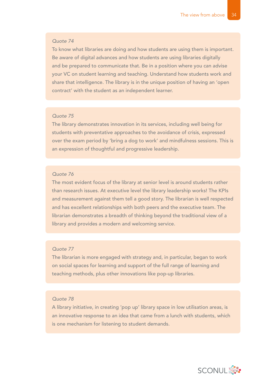To know what libraries are doing and how students are using them is important. Be aware of digital advances and how students are using libraries digitally and be prepared to communicate that. Be in a position where you can advise your VC on student learning and teaching. Understand how students work and share that intelligence. The library is in the unique position of having an 'open contract' with the student as an independent learner.

### *Quote 75*

The library demonstrates innovation in its services, including well being for students with preventative approaches to the avoidance of crisis, expressed over the exam period by 'bring a dog to work' and mindfulness sessions. This is an expression of thoughtful and progressive leadership.

### *Quote 76*

The most evident focus of the library at senior level is around students rather than research issues. At executive level the library leadership works! The KPIs and measurement against them tell a good story. The librarian is well respected and has excellent relationships with both peers and the executive team. The librarian demonstrates a breadth of thinking beyond the traditional view of a library and provides a modern and welcoming service.

### *Quote 77*

The librarian is more engaged with strategy and, in particular, began to work on social spaces for learning and support of the full range of learning and teaching methods, plus other innovations like pop-up libraries.

### *Quote 78*

A library initiative, in creating 'pop up' library space in low utilisation areas, is an innovative response to an idea that came from a lunch with students, which is one mechanism for listening to student demands.

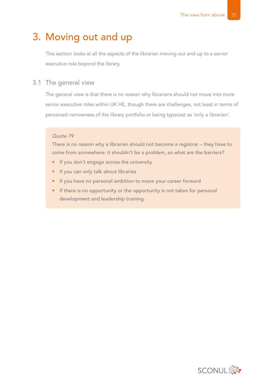## 3. Moving out and up

This section looks at all the aspects of the librarian moving out and up to a senior executive role beyond the library.

### 3.1 The general view

The general view is that there is no reason why librarians should not move into more senior executive roles within UK HE, though there are challenges, not least in terms of perceived narrowness of the library portfolio or being typecast as 'only a librarian'.

### *Quote 79*

There is no reason why a librarian should not become a registrar – they have to come from somewhere: it shouldn't be a problem, so what are the barriers?

- if you don't engage across the university
- if you can only talk about libraries
- if you have no personal ambition to move your career forward
- if there is no opportunity or the opportunity is not taken for personal development and leadership training.

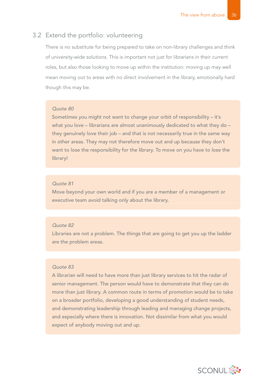### 3.2 Extend the portfolio: volunteering

There is no substitute for being prepared to take on non-library challenges and think of university-wide solutions. This is important not just for librarians in their current roles, but also those looking to move up within the institution: moving up may well mean moving out to areas with no direct involvement in the library, emotionally hard though this may be.

#### *Quote 80*

Sometimes you might not want to change your orbit of responsibility – it's what you love – librarians are almost unanimously dedicated to what they do – they genuinely love their job – and that is not necessarily true in the same way in other areas. They may not therefore move out and up because they don't want to lose the responsibility for the library. To move on you have to lose the library!

### *Quote 81*

Move beyond your own world and if you are a member of a management or executive team avoid talking only about the library.

#### *Quote 82*

Libraries are not a problem. The things that are going to get you up the ladder are the problem areas.

### *Quote 83*

A librarian will need to have more than just library services to hit the radar of senior management. The person would have to demonstrate that they can do more than just library. A common route in terms of promotion would be to take on a broader portfolio, developing a good understanding of student needs, and demonstrating leadership through leading and managing change projects, and especially where there is innovation. Not dissimilar from what you would expect of anybody moving out and up.

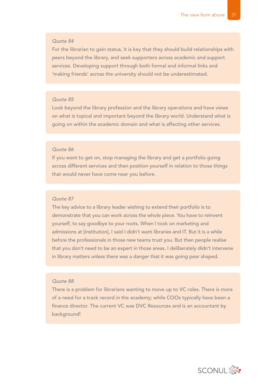For the librarian to gain status, it is key that they should build relationships with peers beyond the library, and seek supporters across academic and support services. Developing support through both formal and informal links and 'making friends' across the university should not be underestimated.

### *Quote 85*

Look beyond the library profession and the library operations and have views on what is topical and important beyond the library world. Understand what is going on within the academic domain and what is affecting other services.

### *Quote 86*

If you want to get on, stop managing the library and get a portfolio going across different services and then position yourself in relation to those things that would never have come near you before.

#### *Quote 87*

The key advice to a library leader wishing to extend their portfolio is to demonstrate that you can work across the whole piece. You have to reinvent yourself, to say goodbye to your roots. When I took on marketing and admissions at [institution], I said I didn't want libraries and IT. But it is a while before the professionals in those new teams trust you. But then people realise that you don't need to be an expert in those areas. I deliberately didn't intervene in library matters unless there was a danger that it was going pear shaped.

### *Quote 88*

There is a problem for librarians wanting to move up to VC roles. There is more of a need for a track record in the academy; while COOs typically have been a finance director. The current VC was DVC Resources and is an accountant by background!

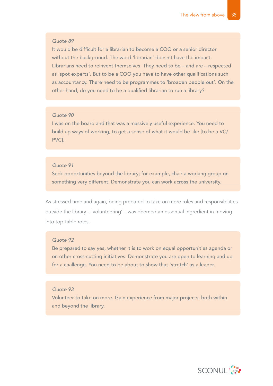It would be difficult for a librarian to become a COO or a senior director without the background. The word 'librarian' doesn't have the impact. Librarians need to reinvent themselves. They need to be – and are – respected as 'spot experts'. But to be a COO you have to have other qualifications such as accountancy. There need to be programmes to 'broaden people out'. On the other hand, do you need to be a qualified librarian to run a library?

### *Quote 90*

I was on the board and that was a massively useful experience. You need to build up ways of working, to get a sense of what it would be like [to be a VC/ PVC].

### *Quote 91*

Seek opportunities beyond the library; for example, chair a working group on something very different. Demonstrate you can work across the university.

As stressed time and again, being prepared to take on more roles and responsibilities outside the library – 'volunteering' – was deemed an essential ingredient in moving into top-table roles.

#### *Quote 92*

Be prepared to say yes, whether it is to work on equal opportunities agenda or on other cross-cutting initiatives. Demonstrate you are open to learning and up for a challenge. You need to be about to show that 'stretch' as a leader.

### *Quote 93*

Volunteer to take on more. Gain experience from major projects, both within and beyond the library.

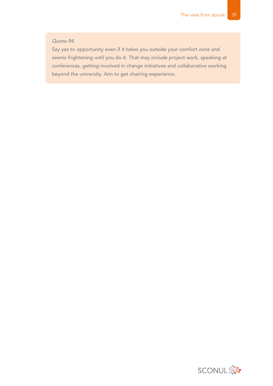Say yes to opportunity even if it takes you outside your comfort zone and seems frightening until you do it. That may include project work, speaking at conferences, getting involved in change initiatives and collaborative working beyond the university. Aim to get chairing experience.

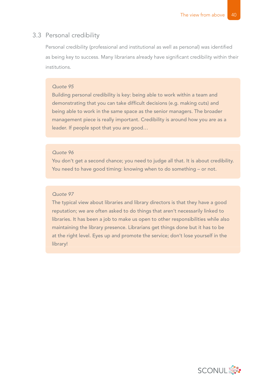### 3.3 Personal credibility

Personal credibility (professional and institutional as well as personal) was identified as being key to success. Many librarians already have significant credibility within their institutions.

#### *Quote 95*

Building personal credibility is key: being able to work within a team and demonstrating that you can take difficult decisions (e.g. making cuts) and being able to work in the same space as the senior managers. The broader management piece is really important. Credibility is around how you are as a leader. If people spot that you are good…

### *Quote 96*

You don't get a second chance; you need to judge all that. It is about credibility. You need to have good timing: knowing when to do something – or not.

### *Quote 97*

The typical view about libraries and library directors is that they have a good reputation; we are often asked to do things that aren't necessarily linked to libraries. It has been a job to make us open to other responsibilities while also maintaining the library presence. Librarians get things done but it has to be at the right level. Eyes up and promote the service; don't lose yourself in the library!

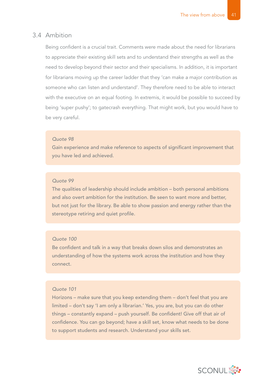### 3.4 Ambition

Being confident is a crucial trait. Comments were made about the need for librarians to appreciate their existing skill sets and to understand their strengths as well as the need to develop beyond their sector and their specialisms. In addition, it is important for librarians moving up the career ladder that they 'can make a major contribution as someone who can listen and understand'. They therefore need to be able to interact with the executive on an equal footing. In extremis, it would be possible to succeed by being 'super pushy'; to gatecrash everything. That might work, but you would have to be very careful.

### *Quote 98*

Gain experience and make reference to aspects of significant improvement that you have led and achieved.

### *Quote 99*

The qualities of leadership should include ambition – both personal ambitions and also overt ambition for the institution. Be seen to want more and better, but not just for the library. Be able to show passion and energy rather than the stereotype retiring and quiet profile.

### *Quote 100*

Be confident and talk in a way that breaks down silos and demonstrates an understanding of how the systems work across the institution and how they connect.

### *Quote 101*

Horizons – make sure that you keep extending them – don't feel that you are limited – don't say 'I am only a librarian.' Yes, you are, but you can do other things – constantly expand – push yourself. Be confident! Give off that air of confidence. You can go beyond; have a skill set, know what needs to be done to support students and research. Understand your skills set.

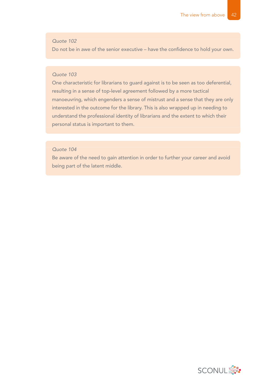Do not be in awe of the senior executive – have the confidence to hold your own.

### *Quote 103*

One characteristic for librarians to guard against is to be seen as too deferential, resulting in a sense of top-level agreement followed by a more tactical manoeuvring, which engenders a sense of mistrust and a sense that they are only interested in the outcome for the library. This is also wrapped up in needing to understand the professional identity of librarians and the extent to which their personal status is important to them.

### *Quote 104*

Be aware of the need to gain attention in order to further your career and avoid being part of the latent middle.

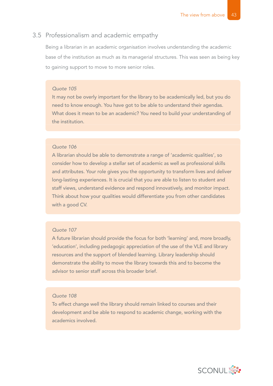### 3.5 Professionalism and academic empathy

Being a librarian in an academic organisation involves understanding the academic base of the institution as much as its managerial structures. This was seen as being key to gaining support to move to more senior roles.

#### *Quote 105*

It may not be overly important for the library to be academically led, but you do need to know enough. You have got to be able to understand their agendas. What does it mean to be an academic? You need to build your understanding of the institution.

### *Quote 106*

A librarian should be able to demonstrate a range of 'academic qualities', so consider how to develop a stellar set of academic as well as professional skills and attributes. Your role gives you the opportunity to transform lives and deliver long-lasting experiences. It is crucial that you are able to listen to student and staff views, understand evidence and respond innovatively, and monitor impact. Think about how your qualities would differentiate you from other candidates with a good CV.

### *Quote 107*

A future librarian should provide the focus for both 'learning' and, more broadly, 'education', including pedagogic appreciation of the use of the VLE and library resources and the support of blended learning. Library leadership should demonstrate the ability to move the library towards this and to become the advisor to senior staff across this broader brief.

### *Quote 108*

To effect change well the library should remain linked to courses and their development and be able to respond to academic change, working with the academics involved.

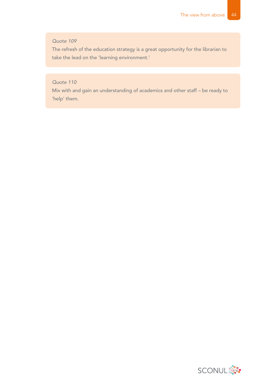The refresh of the education strategy is a great opportunity for the librarian to take the lead on the 'learning environment.'

### *Quote 110*

Mix with and gain an understanding of academics and other staff – be ready to 'help' them.

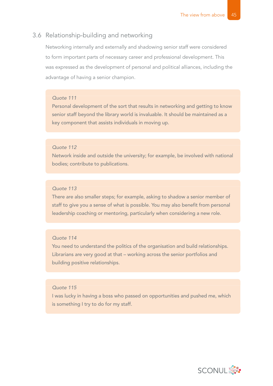### 3.6 Relationship-building and networking

Networking internally and externally and shadowing senior staff were considered to form important parts of necessary career and professional development. This was expressed as the development of personal and political alliances, including the advantage of having a senior champion.

### *Quote 111*

Personal development of the sort that results in networking and getting to know senior staff beyond the library world is invaluable. It should be maintained as a key component that assists individuals in moving up.

### *Quote 112*

Network inside and outside the university; for example, be involved with national bodies; contribute to publications.

### *Quote 113*

There are also smaller steps; for example, asking to shadow a senior member of staff to give you a sense of what is possible. You may also benefit from personal leadership coaching or mentoring, particularly when considering a new role.

### *Quote 114*

You need to understand the politics of the organisation and build relationships. Librarians are very good at that – working across the senior portfolios and building positive relationships.

### *Quote 115*

I was lucky in having a boss who passed on opportunities and pushed me, which is something I try to do for my staff.

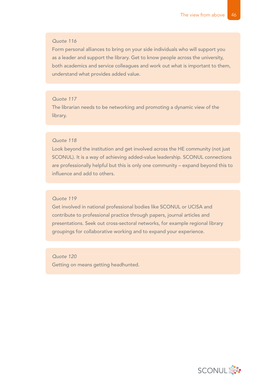Form personal alliances to bring on your side individuals who will support you as a leader and support the library. Get to know people across the university, both academics and service colleagues and work out what is important to them, understand what provides added value.

### *Quote 117*

The librarian needs to be networking and promoting a dynamic view of the library.

### *Quote 118*

Look beyond the institution and get involved across the HE community (not just SCONUL). It is a way of achieving added-value leadership. SCONUL connections are professionally helpful but this is only one community – expand beyond this to influence and add to others.

#### *Quote 119*

Get involved in national professional bodies like SCONUL or UCISA and contribute to professional practice through papers, journal articles and presentations. Seek out cross-sectoral networks, for example regional library groupings for collaborative working and to expand your experience.

*Quote 120* Getting on means getting headhunted.

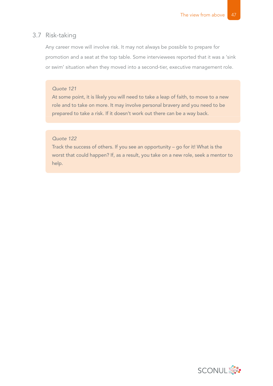### 3.7 Risk-taking

Any career move will involve risk. It may not always be possible to prepare for promotion and a seat at the top table. Some interviewees reported that it was a 'sink or swim' situation when they moved into a second-tier, executive management role.

### *Quote 121*

At some point, it is likely you will need to take a leap of faith, to move to a new role and to take on more. It may involve personal bravery and you need to be prepared to take a risk. If it doesn't work out there can be a way back.

### *Quote 122*

Track the success of others. If you see an opportunity – go for it! What is the worst that could happen? If, as a result, you take on a new role, seek a mentor to help.

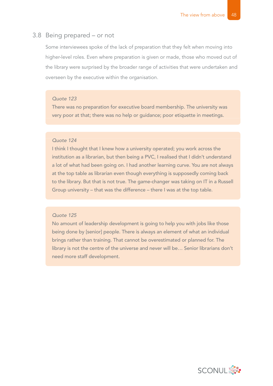### 3.8 Being prepared – or not

Some interviewees spoke of the lack of preparation that they felt when moving into higher-level roles. Even where preparation is given or made, those who moved out of the library were surprised by the broader range of activities that were undertaken and overseen by the executive within the organisation.

### *Quote 123*

There was no preparation for executive board membership. The university was very poor at that; there was no help or guidance; poor etiquette in meetings.

#### *Quote 124*

I think I thought that I knew how a university operated; you work across the institution as a librarian, but then being a PVC, I realised that I didn't understand a lot of what had been going on. I had another learning curve. You are not always at the top table as librarian even though everything is supposedly coming back to the library. But that is not true. The game-changer was taking on IT in a Russell Group university – that was the difference – there I was at the top table.

#### *Quote 125*

No amount of leadership development is going to help you with jobs like those being done by [senior] people. There is always an element of what an individual brings rather than training. That cannot be overestimated or planned for. The library is not the centre of the universe and never will be… Senior librarians don't need more staff development.

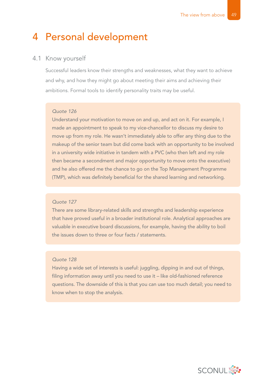## 4 Personal development

### 4.1 Know yourself

Successful leaders know their strengths and weaknesses, what they want to achieve and why, and how they might go about meeting their aims and achieving their ambitions. Formal tools to identify personality traits may be useful.

#### *Quote 126*

Understand your motivation to move on and up, and act on it. For example, I made an appointment to speak to my vice-chancellor to discuss my desire to move up from my role. He wasn't immediately able to offer any thing due to the makeup of the senior team but did come back with an opportunity to be involved in a university wide initiative in tandem with a PVC (who then left and my role then became a secondment and major opportunity to move onto the executive) and he also offered me the chance to go on the Top Management Programme (TMP), which was definitely beneficial for the shared learning and networking.

### *Quote 127*

There are some library-related skills and strengths and leadership experience that have proved useful in a broader institutional role. Analytical approaches are valuable in executive board discussions, for example, having the ability to boil the issues down to three or four facts / statements.

### *Quote 128*

Having a wide set of interests is useful: juggling, dipping in and out of things, filing information away until you need to use it - like old-fashioned reference questions. The downside of this is that you can use too much detail; you need to know when to stop the analysis.

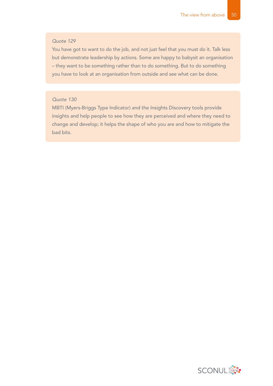You have got to want to do the job, and not just feel that you must do it. Talk less but demonstrate leadership by actions. Some are happy to babysit an organisation – they want to be something rather than to do something. But to do something you have to look at an organisation from outside and see what can be done.

### *Quote 130*

MBTI (Myers-Briggs Type Indicator) and the Insights Discovery tools provide insights and help people to see how they are perceived and where they need to change and develop; it helps the shape of who you are and how to mitigate the bad bits.

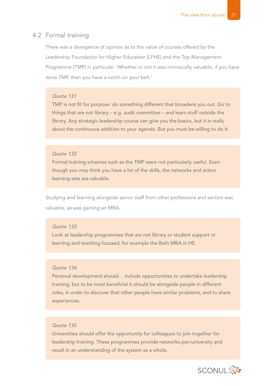### 4.2 Formal training

There was a divergence of opinion as to the value of courses offered by the Leadership Foundation for Higher Education (LFHE) and the Top Management Programme (TMP) in particular. 'Whether or not it was intrinsically valuable, if you have done TMP, then you have a notch on your belt.'

#### *Quote 131*

TMP is not fit for purpose: do something different that broadens you out. Go to things that are not library – e.g. audit committee – and learn stuff outside the library. Any strategic leadership course can give you the basics, but it is really about the continuous addition to your agenda. But you must be willing to do it.

### *Quote 132*

Formal training schemes such as the TMP were not particularly useful. Even though you may think you have a lot of the skills, the networks and action learning sets are valuable.

Studying and learning alongside senior staff from other professions and sectors was valuable, as was gaining an MBA.

### *Quote 133*

Look at leadership programmes that are not library or student support or learning and teaching focused, for example the Bath MBA in HE.

### *Quote 134*

Personal development should… include opportunities to undertake leadership training, but to be most beneficial it should be alongside people in different roles, in order to discover that other people have similar problems, and to share experiences.

### *Quote 135*

Universities should offer the opportunity for colleagues to join together for leadership training. These programmes provide networks pan-university and result in an understanding of the system as a whole.

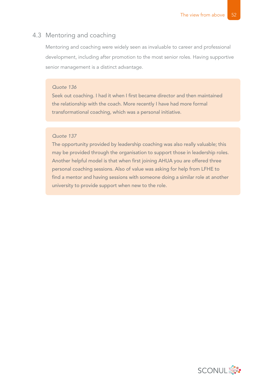### 4.3 Mentoring and coaching

Mentoring and coaching were widely seen as invaluable to career and professional development, including after promotion to the most senior roles. Having supportive senior management is a distinct advantage.

### *Quote 136*

Seek out coaching. I had it when I first became director and then maintained the relationship with the coach. More recently I have had more formal transformational coaching, which was a personal initiative.

### *Quote 137*

The opportunity provided by leadership coaching was also really valuable; this may be provided through the organisation to support those in leadership roles. Another helpful model is that when first joining AHUA you are offered three personal coaching sessions. Also of value was asking for help from LFHE to find a mentor and having sessions with someone doing a similar role at another university to provide support when new to the role.

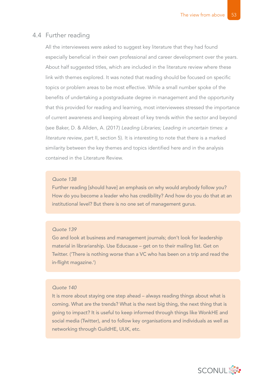### 4.4 Further reading

All the interviewees were asked to suggest key literature that they had found especially beneficial in their own professional and career development over the years. About half suggested titles, which are included in the literature review where these link with themes explored. It was noted that reading should be focused on specific topics or problem areas to be most effective. While a small number spoke of the benefits of undertaking a postgraduate degree in management and the opportunity that this provided for reading and learning, most interviewees stressed the importance of current awareness and keeping abreast of key trends within the sector and beyond (see Baker, D. & Allden, A. (2017) *Leading Libraries; Leading in uncertain times: a literature review*, part II, section 5). It is interesting to note that there is a marked similarity between the key themes and topics identified here and in the analysis contained in the Literature Review.

### *Quote 138*

Further reading [should have] an emphasis on why would anybody follow you? How do you become a leader who has credibility? And how do you do that at an institutional level? But there is no one set of management gurus.

### *Quote 139*

Go and look at business and management journals; don't look for leadership material in librarianship. Use Educause – get on to their mailing list. Get on Twitter. ('There is nothing worse than a VC who has been on a trip and read the in-flight magazine.')

#### *Quote 140*

It is more about staying one step ahead – always reading things about what is coming. What are the trends? What is the next big thing, the next thing that is going to impact? It is useful to keep informed through things like WonkHE and social media (Twitter), and to follow key organisations and individuals as well as networking through GuildHE, UUK, etc.

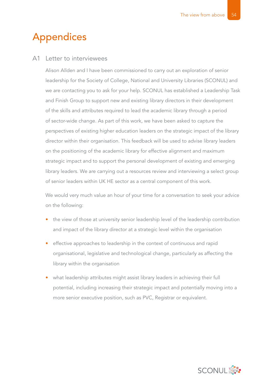## Appendices

### A1 Letter to interviewees

Alison Allden and I have been commissioned to carry out an exploration of senior leadership for the Society of College, National and University Libraries (SCONUL) and we are contacting you to ask for your help. SCONUL has established a Leadership Task and Finish Group to support new and existing library directors in their development of the skills and attributes required to lead the academic library through a period of sector-wide change. As part of this work, we have been asked to capture the perspectives of existing higher education leaders on the strategic impact of the library director within their organisation. This feedback will be used to advise library leaders on the positioning of the academic library for effective alignment and maximum strategic impact and to support the personal development of existing and emerging library leaders. We are carrying out a resources review and interviewing a select group of senior leaders within UK HE sector as a central component of this work.

We would very much value an hour of your time for a conversation to seek your advice on the following:

- the view of those at university senior leadership level of the leadership contribution and impact of the library director at a strategic level within the organisation
- effective approaches to leadership in the context of continuous and rapid organisational, legislative and technological change, particularly as affecting the library within the organisation
- what leadership attributes might assist library leaders in achieving their full potential, including increasing their strategic impact and potentially moving into a more senior executive position, such as PVC, Registrar or equivalent.

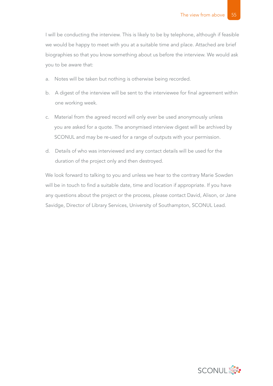I will be conducting the interview. This is likely to be by telephone, although if feasible we would be happy to meet with you at a suitable time and place. Attached are brief biographies so that you know something about us before the interview. We would ask you to be aware that:

- a. Notes will be taken but nothing is otherwise being recorded.
- b. A digest of the interview will be sent to the interviewee for final agreement within one working week.
- c. Material from the agreed record will only ever be used anonymously unless you are asked for a quote. The anonymised interview digest will be archived by SCONUL and may be re-used for a range of outputs with your permission.
- d. Details of who was interviewed and any contact details will be used for the duration of the project only and then destroyed.

We look forward to talking to you and unless we hear to the contrary Marie Sowden will be in touch to find a suitable date, time and location if appropriate. If you have any questions about the project or the process, please contact David, Alison, or Jane Savidge, Director of Library Services, University of Southampton, SCONUL Lead.

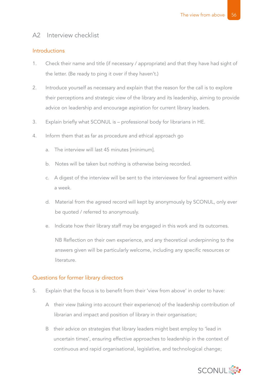### A2 Interview checklist

### Introductions

- 1. Check their name and title (if necessary / appropriate) and that they have had sight of the letter. (Be ready to ping it over if they haven't.)
- 2. Introduce yourself as necessary and explain that the reason for the call is to explore their perceptions and strategic view of the library and its leadership, aiming to provide advice on leadership and encourage aspiration for current library leaders.
- 3. Explain briefly what SCONUL is professional body for librarians in HE.
- 4. Inform them that as far as procedure and ethical approach go
	- a. The interview will last 45 minutes [minimum].
	- b. Notes will be taken but nothing is otherwise being recorded.
	- c. A digest of the interview will be sent to the interviewee for final agreement within a week.
	- d. Material from the agreed record will kept by anonymously by SCONUL, only ever be quoted / referred to anonymously.
	- e. Indicate how their library staff may be engaged in this work and its outcomes.

 NB Reflection on their own experience, and any theoretical underpinning to the answers given will be particularly welcome, including any specific resources or literature.

### Questions for former library directors

- 5. Explain that the focus is to benefit from their 'view from above' in order to have:
	- A their view (taking into account their experience) of the leadership contribution of librarian and impact and position of library in their organisation;
	- B their advice on strategies that library leaders might best employ to 'lead in uncertain times', ensuring effective approaches to leadership in the context of continuous and rapid organisational, legislative, and technological change;

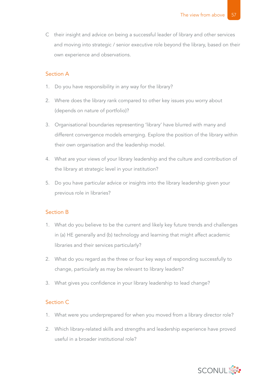C their insight and advice on being a successful leader of library and other services and moving into strategic / senior executive role beyond the library, based on their own experience and observations.

### Section A

- 1. Do you have responsibility in any way for the library?
- 2. Where does the library rank compared to other key issues you worry about (depends on nature of portfolio)?
- 3. Organisational boundaries representing 'library' have blurred with many and different convergence models emerging. Explore the position of the library within their own organisation and the leadership model.
- 4. What are your views of your library leadership and the culture and contribution of the library at strategic level in your institution?
- 5. Do you have particular advice or insights into the library leadership given your previous role in libraries?

### Section B

- 1. What do you believe to be the current and likely key future trends and challenges in (a) HE generally and (b) technology and learning that might affect academic libraries and their services particularly?
- 2. What do you regard as the three or four key ways of responding successfully to change, particularly as may be relevant to library leaders?
- 3. What gives you confidence in your library leadership to lead change?

### Section C

- 1. What were you underprepared for when you moved from a library director role?
- 2. Which library-related skills and strengths and leadership experience have proved useful in a broader institutional role?

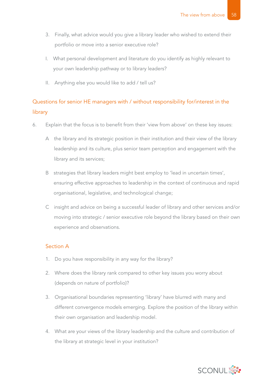- 3. Finally, what advice would you give a library leader who wished to extend their portfolio or move into a senior executive role?
- I. What personal development and literature do you identify as highly relevant to your own leadership pathway or to library leaders?
- II. Anything else you would like to add / tell us?

### Questions for senior HE managers with / without responsibility for/interest in the library

- 6. Explain that the focus is to benefit from their 'view from above' on these key issues:
	- A the library and its strategic position in their institution and their view of the library leadership and its culture, plus senior team perception and engagement with the library and its services;
	- B strategies that library leaders might best employ to 'lead in uncertain times', ensuring effective approaches to leadership in the context of continuous and rapid organisational, legislative, and technological change;
	- C insight and advice on being a successful leader of library and other services and/or moving into strategic / senior executive role beyond the library based on their own experience and observations.

### Section A

- 1. Do you have responsibility in any way for the library?
- 2. Where does the library rank compared to other key issues you worry about (depends on nature of portfolio)?
- 3. Organisational boundaries representing 'library' have blurred with many and different convergence models emerging. Explore the position of the library within their own organisation and leadership model.
- 4. What are your views of the library leadership and the culture and contribution of the library at strategic level in your institution?

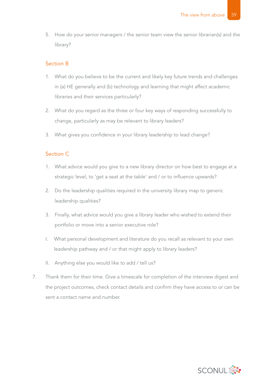5. How do your senior managers / the senior team view the senior librarian(s) and the library?

### Section B

- 1. What do you believe to be the current and likely key future trends and challenges in (a) HE generally and (b) technology and learning that might affect academic libraries and their services particularly?
- 2. What do you regard as the three or four key ways of responding successfully to change, particularly as may be relevant to library leaders?
- 3. What gives you confidence in your library leadership to lead change?

### Section C

- 1. What advice would you give to a new library director on how best to engage at a strategic level, to 'get a seat at the table' and / or to influence upwards?
- 2. Do the leadership qualities required in the university library map to generic leadership qualities?
- 3. Finally, what advice would you give a library leader who wished to extend their portfolio or move into a senior executive role?
- I. What personal development and literature do you recall as relevant to your own leadership pathway and / or that might apply to library leaders?
- II. Anything else you would like to add / tell us?
- 7. Thank them for their time. Give a timescale for completion of the interview digest and the project outcomes, check contact details and confirm they have access to or can be sent a contact name and number.

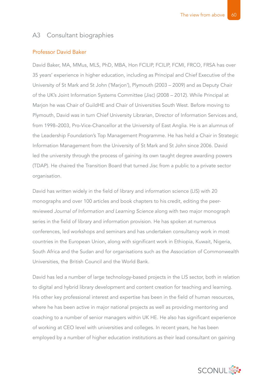### A3 Consultant biographies

### Professor David Baker

David Baker, MA, MMus, MLS, PhD, MBA, Hon FCILIP, FCILIP, FCMI, FRCO, FRSA has over 35 years' experience in higher education, including as Principal and Chief Executive of the University of St Mark and St John ('Marjon'), Plymouth (2003 – 2009) and as Deputy Chair of the UK's Joint Information Systems Committee (Jisc) (2008 – 2012). While Principal at Marjon he was Chair of GuildHE and Chair of Universities South West. Before moving to Plymouth, David was in turn Chief University Librarian, Director of Information Services and, from 1998–2003, Pro-Vice-Chancellor at the University of East Anglia. He is an alumnus of the Leadership Foundation's Top Management Programme. He has held a Chair in Strategic Information Management from the University of St Mark and St John since 2006. David led the university through the process of gaining its own taught degree awarding powers (TDAP). He chaired the Transition Board that turned Jisc from a public to a private sector organisation.

David has written widely in the field of library and information science (LIS) with 20 monographs and over 100 articles and book chapters to his credit, editing the peerreviewed *Journal of Information and Learning Science* along with two major monograph series in the field of library and information provision. He has spoken at numerous conferences, led workshops and seminars and has undertaken consultancy work in most countries in the European Union, along with significant work in Ethiopia, Kuwait, Nigeria, South Africa and the Sudan and for organisations such as the Association of Commonwealth Universities, the British Council and the World Bank.

David has led a number of large technology-based projects in the LIS sector, both in relation to digital and hybrid library development and content creation for teaching and learning. His other key professional interest and expertise has been in the field of human resources, where he has been active in major national projects as well as providing mentoring and coaching to a number of senior managers within UK HE. He also has significant experience of working at CEO level with universities and colleges. In recent years, he has been employed by a number of higher education institutions as their lead consultant on gaining

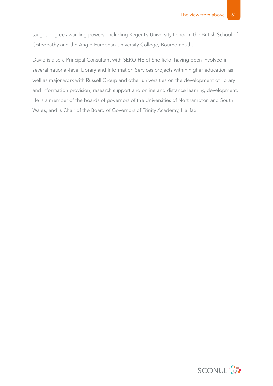taught degree awarding powers, including Regent's University London, the British School of Osteopathy and the Anglo-European University College, Bournemouth.

David is also a Principal Consultant with SERO-HE of Sheffield, having been involved in several national-level Library and Information Services projects within higher education as well as major work with Russell Group and other universities on the development of library and information provision, research support and online and distance learning development. He is a member of the boards of governors of the Universities of Northampton and South Wales, and is Chair of the Board of Governors of Trinity Academy, Halifax.

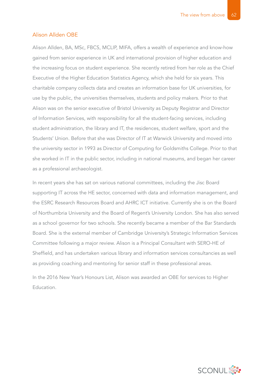### Alison Allden OBE

Alison Allden, BA, MSc, FBCS, MCLIP, MIFA, offers a wealth of experience and know-how gained from senior experience in UK and international provision of higher education and the increasing focus on student experience. She recently retired from her role as the Chief Executive of the Higher Education Statistics Agency, which she held for six years. This charitable company collects data and creates an information base for UK universities, for use by the public, the universities themselves, students and policy makers. Prior to that Alison was on the senior executive of Bristol University as Deputy Registrar and Director of Information Services, with responsibility for all the student-facing services, including student administration, the library and IT, the residences, student welfare, sport and the Students' Union. Before that she was Director of IT at Warwick University and moved into the university sector in 1993 as Director of Computing for Goldsmiths College. Prior to that she worked in IT in the public sector, including in national museums, and began her career as a professional archaeologist.

In recent years she has sat on various national committees, including the Jisc Board supporting IT across the HE sector, concerned with data and information management, and the ESRC Research Resources Board and AHRC ICT initiative. Currently she is on the Board of Northumbria University and the Board of Regent's University London. She has also served as a school governor for two schools. She recently became a member of the Bar Standards Board. She is the external member of Cambridge University's Strategic Information Services Committee following a major review. Alison is a Principal Consultant with SERO-HE of Sheffield, and has undertaken various library and information services consultancies as well as providing coaching and mentoring for senior staff in these professional areas.

In the 2016 New Year's Honours List, Alison was awarded an OBE for services to Higher Education.